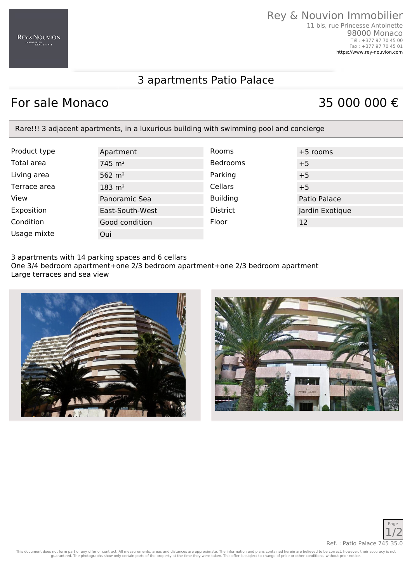### Rey & Nouvion Immobilier 11 bis, rue Princesse Antoinette 98000 Monaco Tél : +377 97 70 45 00

Fax : +377 97 70 45 01 <https://www.rey-nouvion.com>

## 3 apartments Patio Palace

# For sale Monaco  $35\ 000\ 000 \in$

Rare!!! 3 adjacent apartments, in a luxurious building with swimming pool and concierge

| Product type | Apartment           | <b>Rooms</b>    | $+5$ rooms      |
|--------------|---------------------|-----------------|-----------------|
| Total area   | $745 \; \text{m}^2$ | <b>Bedrooms</b> | $+5$            |
| Living area  | 562 $m2$            | Parking         | $+5$            |
| Terrace area | $183 \; \text{m}^2$ | Cellars         | $+5$            |
| View         | Panoramic Sea       | <b>Building</b> | Patio Palace    |
| Exposition   | East-South-West     | <b>District</b> | Jardin Exotique |
| Condition    | Good condition      | Floor           | 12              |
| Usage mixte  | Oui                 |                 |                 |

3 apartments with 14 parking spaces and 6 cellars One 3/4 bedroom apartment+one 2/3 bedroom apartment+one 2/3 bedroom apartment Large terraces and sea view







This document does not form part of any offer or contract. All measurements, areas and distances are approximate. The information and plans contained herein are believed to be correct, however, their accuracy is not<br>guaran